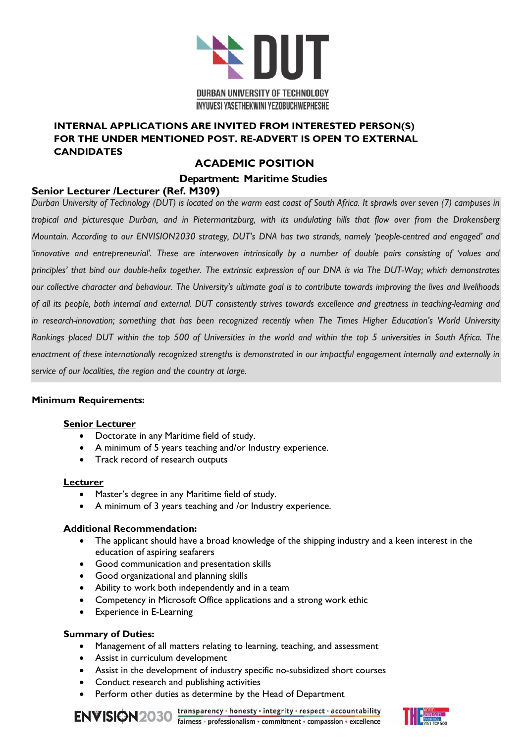

### **INTERNAL APPLICATIONS ARE INVITED FROM INTERESTED PERSON(S) FOR THE UNDER MENTIONED POST. RE-ADVERT IS OPEN TO EXTERNAL CANDIDATES**

# **ACADEMIC POSITION**

### **Department: Maritime Studies**

## **Senior Lecturer /Lecturer (Ref. M309)**

*Durban University of Technology (DUT) is located on the warm east coast of South Africa. It sprawls over seven (7) campuses in tropical and picturesque Durban, and in Pietermaritzburg, with its undulating hills that flow over from the Drakensberg Mountain. According to our ENVISION2030 strategy, DUT's DNA has two strands, namely 'people-centred and engaged' and 'innovative and entrepreneurial'. These are interwoven intrinsically by a number of double pairs consisting of 'values and principles' that bind our double-helix together. The extrinsic expression of our DNA is via The DUT-Way; which demonstrates our collective character and behaviour. The University's ultimate goal is to contribute towards improving the lives and livelihoods of all its people, both internal and external. DUT consistently strives towards excellence and greatness in teaching-learning and in research-innovation; something that has been recognized recently when The Times Higher Education's World University Rankings placed DUT within the top 500 of Universities in the world and within the top 5 universities in South Africa. The enactment of these internationally recognized strengths is demonstrated in our impactful engagement internally and externally in service of our localities, the region and the country at large.*

#### **Minimum Requirements:**

#### **Senior Lecturer**

- Doctorate in any Maritime field of study.
- A minimum of 5 years teaching and/or Industry experience.
- Track record of research outputs

#### **Lecturer**

- Master's degree in any Maritime field of study.
- A minimum of 3 years teaching and /or Industry experience.

#### **Additional Recommendation:**

- The applicant should have a broad knowledge of the shipping industry and a keen interest in the education of aspiring seafarers
- Good communication and presentation skills
- Good organizational and planning skills
- Ability to work both independently and in a team
- Competency in Microsoft Office applications and a strong work ethic
- Experience in E-Learning

#### **Summary of Duties:**

- Management of all matters relating to learning, teaching, and assessment
- Assist in curriculum development
- Assist in the development of industry specific no-subsidized short courses
- Conduct research and publishing activities
- Perform other duties as determine by the Head of Department

transparency · honesty · integrity · respect · accountability ENVISION2030 transparency · honesty · integrity · respect · accountability<br>fairness · professionalism · commitment · compassion · excellence